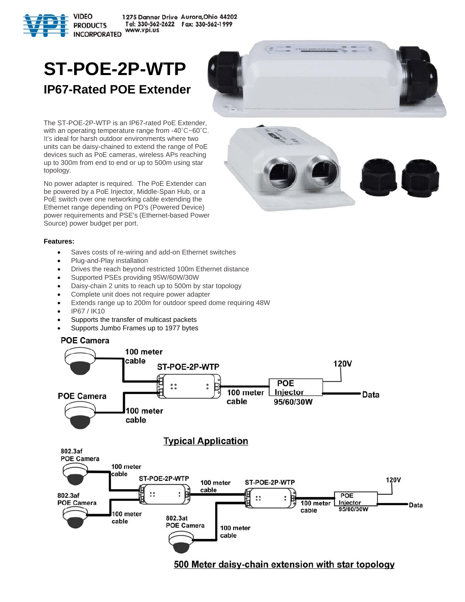

## **ST-POE-2P-WTP IP67-Rated POE Extender**



No power adapter is required. The PoE Extender can be powered by a PoE Injector, Middle-Span Hub, or a PoE switch over one networking cable extending the Ethernet range depending on PD's (Powered Device) power requirements and PSE's (Ethernet-based Power Source) power budget per port.





## **Features:**

- Saves costs of re-wiring and add-on Ethernet switches
- Plug-and-Play installation
- Drives the reach beyond restricted 100m Ethernet distance
- Supported PSEs providing 95W/60W/30W
- Daisy-chain 2 units to reach up to 500m by star topology
- Complete unit does not require power adapter
- Extends range up to 200m for outdoor speed dome requiring 48W
- IP67 / IK10
- Supports the transfer of multicast packets
- Supports Jumbo Frames up to 1977 bytes

## **POE Camera**